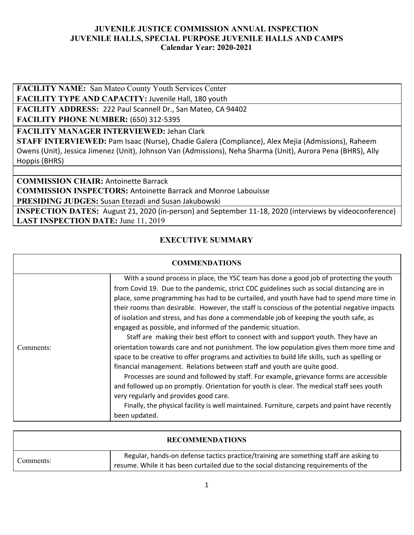**FACILITY NAME:** San Mateo County Youth Services Center

**FACILITY TYPE AND CAPACITY:** Juvenile Hall, 180 youth

**FACILITY ADDRESS:** 222 Paul Scannell Dr., San Mateo, CA 94402

**FACILITY PHONE NUMBER:** (650) 312-5395

**FACILITY MANAGER INTERVIEWED:** Jehan Clark

**STAFF INTERVIEWED:** Pam Isaac (Nurse), Chadie Galera (Compliance), Alex Mejia (Admissions), Raheem Owens (Unit), Jessica Jimenez (Unit), Johnson Van (Admissions), Neha Sharma (Unit), Aurora Pena (BHRS), Ally Hoppis (BHRS)

**COMMISSION CHAIR:** Antoinette Barrack **COMMISSION INSPECTORS:** Antoinette Barrack and Monroe Labouisse **PRESIDING JUDGES:** Susan Etezadi and Susan Jakubowski

**INSPECTION DATES:** August 21, 2020 (in-person) and September 11-18, 2020 (interviews by videoconference) **LAST INSPECTION DATE:** June 11, 2019

## **EXECUTIVE SUMMARY**

|           | <b>COMMENDATIONS</b>                                                                                                                                                                                                                                                                                                                                                                                                                                                                                                                                                                                                               |
|-----------|------------------------------------------------------------------------------------------------------------------------------------------------------------------------------------------------------------------------------------------------------------------------------------------------------------------------------------------------------------------------------------------------------------------------------------------------------------------------------------------------------------------------------------------------------------------------------------------------------------------------------------|
|           | With a sound process in place, the YSC team has done a good job of protecting the youth<br>from Covid 19. Due to the pandemic, strict CDC guidelines such as social distancing are in<br>place, some programming has had to be curtailed, and youth have had to spend more time in<br>their rooms than desirable. However, the staff is conscious of the potential negative impacts<br>of isolation and stress, and has done a commendable job of keeping the youth safe, as<br>engaged as possible, and informed of the pandemic situation.<br>Staff are making their best effort to connect with and support youth. They have an |
| Comments: | orientation towards care and not punishment. The low population gives them more time and<br>space to be creative to offer programs and activities to build life skills, such as spelling or<br>financial management. Relations between staff and youth are quite good.<br>Processes are sound and followed by staff. For example, grievance forms are accessible<br>and followed up on promptly. Orientation for youth is clear. The medical staff sees youth<br>very regularly and provides good care.<br>Finally, the physical facility is well maintained. Furniture, carpets and paint have recently<br>been updated.          |

|           | <b>RECOMMENDATIONS</b>                                                                                                                                                        |
|-----------|-------------------------------------------------------------------------------------------------------------------------------------------------------------------------------|
| Comments: | Regular, hands-on defense tactics practice/training are something staff are asking to<br>resume. While it has been curtailed due to the social distancing requirements of the |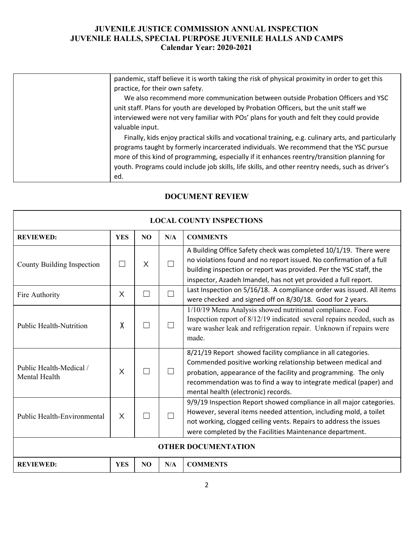| pandemic, staff believe it is worth taking the risk of physical proximity in order to get this                                                                                                                                                                                              |
|---------------------------------------------------------------------------------------------------------------------------------------------------------------------------------------------------------------------------------------------------------------------------------------------|
|                                                                                                                                                                                                                                                                                             |
| practice, for their own safety.                                                                                                                                                                                                                                                             |
| We also recommend more communication between outside Probation Officers and YSC                                                                                                                                                                                                             |
| unit staff. Plans for youth are developed by Probation Officers, but the unit staff we                                                                                                                                                                                                      |
| interviewed were not very familiar with POs' plans for youth and felt they could provide                                                                                                                                                                                                    |
| valuable input.                                                                                                                                                                                                                                                                             |
| Finally, kids enjoy practical skills and vocational training, e.g. culinary arts, and particularly<br>programs taught by formerly incarcerated individuals. We recommend that the YSC pursue<br>more of this kind of programming, especially if it enhances reentry/transition planning for |
| youth. Programs could include job skills, life skills, and other reentry needs, such as driver's                                                                                                                                                                                            |
| ed.                                                                                                                                                                                                                                                                                         |

| <b>LOCAL COUNTY INSPECTIONS</b>          |            |     |         |                                                                                                                                                                                                                                                                                                            |  |
|------------------------------------------|------------|-----|---------|------------------------------------------------------------------------------------------------------------------------------------------------------------------------------------------------------------------------------------------------------------------------------------------------------------|--|
| <b>REVIEWED:</b>                         | <b>YES</b> | NO  | N/A     | <b>COMMENTS</b>                                                                                                                                                                                                                                                                                            |  |
| County Building Inspection               |            | X   | П       | A Building Office Safety check was completed 10/1/19. There were<br>no violations found and no report issued. No confirmation of a full<br>building inspection or report was provided. Per the YSC staff, the<br>inspector, Azadeh Imandel, has not yet provided a full report.                            |  |
| Fire Authority                           | X          | - 1 | П       | Last Inspection on 5/16/18. A compliance order was issued. All items<br>were checked and signed off on 8/30/18. Good for 2 years.                                                                                                                                                                          |  |
| <b>Public Health-Nutrition</b>           | χ          | - 1 | $\Box$  | 1/10/19 Menu Analysis showed nutritional compliance. Food<br>Inspection report of 8/12/19 indicated several repairs needed, such as<br>ware washer leak and refrigeration repair. Unknown if repairs were<br>made.                                                                                         |  |
| Public Health-Medical /<br>Mental Health | X          | - 1 | $\perp$ | 8/21/19 Report showed facility compliance in all categories.<br>Commended positive working relationship between medical and<br>probation, appearance of the facility and programming. The only<br>recommendation was to find a way to integrate medical (paper) and<br>mental health (electronic) records. |  |
| Public Health-Environmental              | X          |     | П       | 9/9/19 Inspection Report showed compliance in all major categories.<br>However, several items needed attention, including mold, a toilet<br>not working, clogged ceiling vents. Repairs to address the issues<br>were completed by the Facilities Maintenance department.                                  |  |
| <b>OTHER DOCUMENTATION</b>               |            |     |         |                                                                                                                                                                                                                                                                                                            |  |
| <b>REVIEWED:</b>                         | <b>YES</b> | NO  | N/A     | <b>COMMENTS</b>                                                                                                                                                                                                                                                                                            |  |

# **DOCUMENT REVIEW**

٦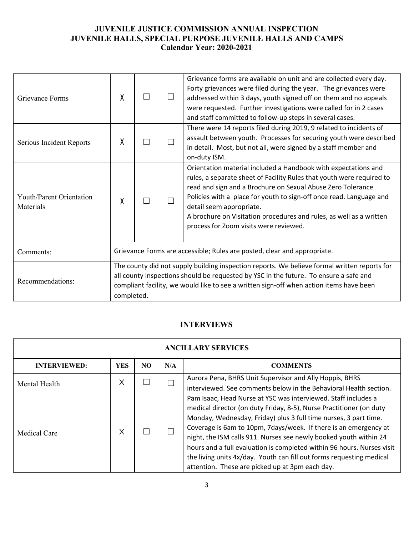| Grievance Forms                       | χ                                                                                                                                                                                                                                                                                              |                                                                          |  | Grievance forms are available on unit and are collected every day.<br>Forty grievances were filed during the year. The grievances were<br>addressed within 3 days, youth signed off on them and no appeals<br>were requested. Further investigations were called for in 2 cases<br>and staff committed to follow-up steps in several cases.                                                                                |  |
|---------------------------------------|------------------------------------------------------------------------------------------------------------------------------------------------------------------------------------------------------------------------------------------------------------------------------------------------|--------------------------------------------------------------------------|--|----------------------------------------------------------------------------------------------------------------------------------------------------------------------------------------------------------------------------------------------------------------------------------------------------------------------------------------------------------------------------------------------------------------------------|--|
| Serious Incident Reports              | χ                                                                                                                                                                                                                                                                                              |                                                                          |  | There were 14 reports filed during 2019, 9 related to incidents of<br>assault between youth. Processes for securing youth were described<br>in detail. Most, but not all, were signed by a staff member and<br>on-duty ISM.                                                                                                                                                                                                |  |
| Youth/Parent Orientation<br>Materials | χ                                                                                                                                                                                                                                                                                              |                                                                          |  | Orientation material included a Handbook with expectations and<br>rules, a separate sheet of Facility Rules that youth were required to<br>read and sign and a Brochure on Sexual Abuse Zero Tolerance<br>Policies with a place for youth to sign-off once read. Language and<br>detail seem appropriate.<br>A brochure on Visitation procedures and rules, as well as a written<br>process for Zoom visits were reviewed. |  |
| Comments:                             |                                                                                                                                                                                                                                                                                                | Grievance Forms are accessible; Rules are posted, clear and appropriate. |  |                                                                                                                                                                                                                                                                                                                                                                                                                            |  |
| Recommendations:                      | The county did not supply building inspection reports. We believe formal written reports for<br>all county inspections should be requested by YSC in the future. To ensure a safe and<br>compliant facility, we would like to see a written sign-off when action items have been<br>completed. |                                                                          |  |                                                                                                                                                                                                                                                                                                                                                                                                                            |  |

# **INTERVIEWS**

| <b>ANCILLARY SERVICES</b> |            |     |     |                                                                                                                                                                                                                                                                                                                                                                                                                                                                                                                                                         |  |  |
|---------------------------|------------|-----|-----|---------------------------------------------------------------------------------------------------------------------------------------------------------------------------------------------------------------------------------------------------------------------------------------------------------------------------------------------------------------------------------------------------------------------------------------------------------------------------------------------------------------------------------------------------------|--|--|
| <b>INTERVIEWED:</b>       | <b>YES</b> | NO. | N/A | <b>COMMENTS</b>                                                                                                                                                                                                                                                                                                                                                                                                                                                                                                                                         |  |  |
| Mental Health             | $\times$   |     |     | Aurora Pena, BHRS Unit Supervisor and Ally Hoppis, BHRS<br>interviewed. See comments below in the Behavioral Health section.                                                                                                                                                                                                                                                                                                                                                                                                                            |  |  |
| <b>Medical Care</b>       | X          |     |     | Pam Isaac, Head Nurse at YSC was interviewed. Staff includes a<br>medical director (on duty Friday, 8-5), Nurse Practitioner (on duty<br>Monday, Wednesday, Friday) plus 3 full time nurses, 3 part time.<br>Coverage is 6am to 10pm, 7days/week. If there is an emergency at<br>night, the ISM calls 911. Nurses see newly booked youth within 24<br>hours and a full evaluation is completed within 96 hours. Nurses visit<br>the living units 4x/day. Youth can fill out forms requesting medical<br>attention. These are picked up at 3pm each day. |  |  |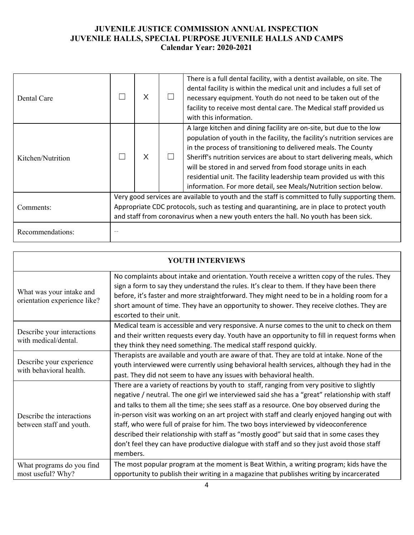| Dental Care       |                                                                                                                                                                                                                                                                                      | X |  | There is a full dental facility, with a dentist available, on site. The<br>dental facility is within the medical unit and includes a full set of<br>necessary equipment. Youth do not need to be taken out of the<br>facility to receive most dental care. The Medical staff provided us<br>with this information.                                                                                                                                                                                         |
|-------------------|--------------------------------------------------------------------------------------------------------------------------------------------------------------------------------------------------------------------------------------------------------------------------------------|---|--|------------------------------------------------------------------------------------------------------------------------------------------------------------------------------------------------------------------------------------------------------------------------------------------------------------------------------------------------------------------------------------------------------------------------------------------------------------------------------------------------------------|
| Kitchen/Nutrition |                                                                                                                                                                                                                                                                                      | X |  | A large kitchen and dining facility are on-site, but due to the low<br>population of youth in the facility, the facility's nutrition services are<br>in the process of transitioning to delivered meals. The County<br>Sheriff's nutrition services are about to start delivering meals, which<br>will be stored in and served from food storage units in each<br>residential unit. The facility leadership team provided us with this<br>information. For more detail, see Meals/Nutrition section below. |
| Comments:         | Very good services are available to youth and the staff is committed to fully supporting them.<br>Appropriate CDC protocols, such as testing and quarantining, are in place to protect youth<br>and staff from coronavirus when a new youth enters the hall. No youth has been sick. |   |  |                                                                                                                                                                                                                                                                                                                                                                                                                                                                                                            |
| Recommendations:  |                                                                                                                                                                                                                                                                                      |   |  |                                                                                                                                                                                                                                                                                                                                                                                                                                                                                                            |

| YOUTH INTERVIEWS                                         |                                                                                                                                                                                                                                                                                                                                                                                                                                                                                                                                                                                                                                                                                          |  |  |  |  |  |
|----------------------------------------------------------|------------------------------------------------------------------------------------------------------------------------------------------------------------------------------------------------------------------------------------------------------------------------------------------------------------------------------------------------------------------------------------------------------------------------------------------------------------------------------------------------------------------------------------------------------------------------------------------------------------------------------------------------------------------------------------------|--|--|--|--|--|
| What was your intake and<br>orientation experience like? | No complaints about intake and orientation. Youth receive a written copy of the rules. They<br>sign a form to say they understand the rules. It's clear to them. If they have been there<br>before, it's faster and more straightforward. They might need to be in a holding room for a<br>short amount of time. They have an opportunity to shower. They receive clothes. They are<br>escorted to their unit.                                                                                                                                                                                                                                                                           |  |  |  |  |  |
| Describe your interactions<br>with medical/dental.       | Medical team is accessible and very responsive. A nurse comes to the unit to check on them<br>and their written requests every day. Youth have an opportunity to fill in request forms when<br>they think they need something. The medical staff respond quickly.                                                                                                                                                                                                                                                                                                                                                                                                                        |  |  |  |  |  |
| Describe your experience<br>with behavioral health.      | Therapists are available and youth are aware of that. They are told at intake. None of the<br>youth interviewed were currently using behavioral health services, although they had in the<br>past. They did not seem to have any issues with behavioral health.                                                                                                                                                                                                                                                                                                                                                                                                                          |  |  |  |  |  |
| Describe the interactions<br>between staff and youth.    | There are a variety of reactions by youth to staff, ranging from very positive to slightly<br>negative / neutral. The one girl we interviewed said she has a "great" relationship with staff<br>and talks to them all the time; she sees staff as a resource. One boy observed during the<br>in-person visit was working on an art project with staff and clearly enjoyed hanging out with<br>staff, who were full of praise for him. The two boys interviewed by videoconference<br>described their relationship with staff as "mostly good" but said that in some cases they<br>don't feel they can have productive dialogue with staff and so they just avoid those staff<br>members. |  |  |  |  |  |
| What programs do you find<br>most useful? Why?           | The most popular program at the moment is Beat Within, a writing program; kids have the<br>opportunity to publish their writing in a magazine that publishes writing by incarcerated                                                                                                                                                                                                                                                                                                                                                                                                                                                                                                     |  |  |  |  |  |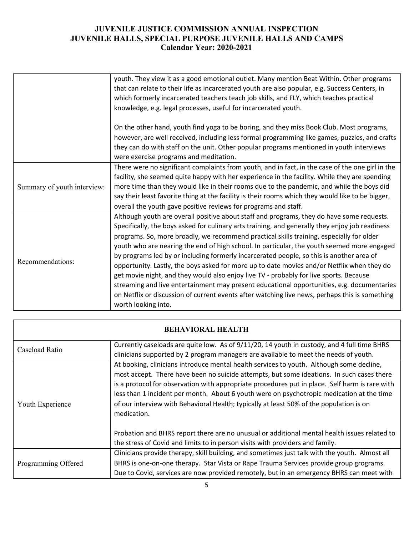|                             | youth. They view it as a good emotional outlet. Many mention Beat Within. Other programs          |
|-----------------------------|---------------------------------------------------------------------------------------------------|
|                             | that can relate to their life as incarcerated youth are also popular, e.g. Success Centers, in    |
|                             | which formerly incarcerated teachers teach job skills, and FLY, which teaches practical           |
|                             | knowledge, e.g. legal processes, useful for incarcerated youth.                                   |
|                             |                                                                                                   |
|                             | On the other hand, youth find yoga to be boring, and they miss Book Club. Most programs,          |
|                             | however, are well received, including less formal programming like games, puzzles, and crafts     |
|                             | they can do with staff on the unit. Other popular programs mentioned in youth interviews          |
|                             | were exercise programs and meditation.                                                            |
|                             | There were no significant complaints from youth, and in fact, in the case of the one girl in the  |
| Summary of youth interview: | facility, she seemed quite happy with her experience in the facility. While they are spending     |
|                             | more time than they would like in their rooms due to the pandemic, and while the boys did         |
|                             | say their least favorite thing at the facility is their rooms which they would like to be bigger, |
|                             | overall the youth gave positive reviews for programs and staff.                                   |
|                             | Although youth are overall positive about staff and programs, they do have some requests.         |
|                             | Specifically, the boys asked for culinary arts training, and generally they enjoy job readiness   |
|                             | programs. So, more broadly, we recommend practical skills training, especially for older          |
| Recommendations:            | youth who are nearing the end of high school. In particular, the youth seemed more engaged        |
|                             | by programs led by or including formerly incarcerated people, so this is another area of          |
|                             | opportunity. Lastly, the boys asked for more up to date movies and/or Netflix when they do        |
|                             | get movie night, and they would also enjoy live TV - probably for live sports. Because            |
|                             | streaming and live entertainment may present educational opportunities, e.g. documentaries        |
|                             | on Netflix or discussion of current events after watching live news, perhaps this is something    |
|                             | worth looking into.                                                                               |

|                                                                                                                                                                                                       | <b>BEHAVIORAL HEALTH</b>                                                                                                                                                                                                                                                                                                                                                                                                                                                                                                                                                                       |  |  |  |  |
|-------------------------------------------------------------------------------------------------------------------------------------------------------------------------------------------------------|------------------------------------------------------------------------------------------------------------------------------------------------------------------------------------------------------------------------------------------------------------------------------------------------------------------------------------------------------------------------------------------------------------------------------------------------------------------------------------------------------------------------------------------------------------------------------------------------|--|--|--|--|
| Currently caseloads are quite low. As of 9/11/20, 14 youth in custody, and 4 full time BHRS<br>Caseload Ratio<br>clinicians supported by 2 program managers are available to meet the needs of youth. |                                                                                                                                                                                                                                                                                                                                                                                                                                                                                                                                                                                                |  |  |  |  |
| Youth Experience                                                                                                                                                                                      | At booking, clinicians introduce mental health services to youth. Although some decline,<br>most accept. There have been no suicide attempts, but some ideations. In such cases there<br>is a protocol for observation with appropriate procedures put in place. Self harm is rare with<br>less than 1 incident per month. About 6 youth were on psychotropic medication at the time<br>of our interview with Behavioral Health; typically at least 50% of the population is on<br>medication.<br>Probation and BHRS report there are no unusual or additional mental health issues related to |  |  |  |  |
|                                                                                                                                                                                                       | the stress of Covid and limits to in person visits with providers and family.                                                                                                                                                                                                                                                                                                                                                                                                                                                                                                                  |  |  |  |  |
| Programming Offered                                                                                                                                                                                   | Clinicians provide therapy, skill building, and sometimes just talk with the youth. Almost all                                                                                                                                                                                                                                                                                                                                                                                                                                                                                                 |  |  |  |  |
|                                                                                                                                                                                                       | BHRS is one-on-one therapy. Star Vista or Rape Trauma Services provide group grograms.<br>Due to Covid, services are now provided remotely, but in an emergency BHRS can meet with                                                                                                                                                                                                                                                                                                                                                                                                             |  |  |  |  |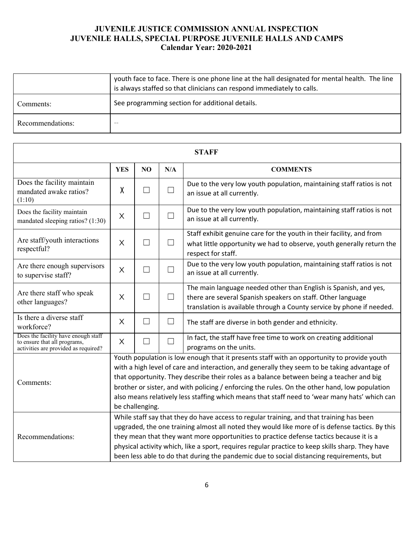|                  | youth face to face. There is one phone line at the hall designated for mental health. The line<br>is always staffed so that clinicians can respond immediately to calls. |
|------------------|--------------------------------------------------------------------------------------------------------------------------------------------------------------------------|
| Comments:        | See programming section for additional details.                                                                                                                          |
| Recommendations: | $- -$                                                                                                                                                                    |

| <b>STAFF</b>                                                                                                |                                                                                                                                                                                                                                                                                                                                                                                                                                                                                                             |                   |        |                                                                                                                                                                                                          |  |
|-------------------------------------------------------------------------------------------------------------|-------------------------------------------------------------------------------------------------------------------------------------------------------------------------------------------------------------------------------------------------------------------------------------------------------------------------------------------------------------------------------------------------------------------------------------------------------------------------------------------------------------|-------------------|--------|----------------------------------------------------------------------------------------------------------------------------------------------------------------------------------------------------------|--|
|                                                                                                             | <b>YES</b>                                                                                                                                                                                                                                                                                                                                                                                                                                                                                                  | NO                | N/A    | <b>COMMENTS</b>                                                                                                                                                                                          |  |
| Does the facility maintain<br>mandated awake ratios?<br>(1:10)                                              | X                                                                                                                                                                                                                                                                                                                                                                                                                                                                                                           | $\Box$            | $\Box$ | Due to the very low youth population, maintaining staff ratios is not<br>an issue at all currently.                                                                                                      |  |
| Does the facility maintain<br>mandated sleeping ratios? (1:30)                                              | X                                                                                                                                                                                                                                                                                                                                                                                                                                                                                                           | $\Box$            | $\Box$ | Due to the very low youth population, maintaining staff ratios is not<br>an issue at all currently.                                                                                                      |  |
| Are staff/youth interactions<br>respectful?                                                                 | $\times$                                                                                                                                                                                                                                                                                                                                                                                                                                                                                                    | $\Box$            | $\Box$ | Staff exhibit genuine care for the youth in their facility, and from<br>what little opportunity we had to observe, youth generally return the<br>respect for staff.                                      |  |
| Are there enough supervisors<br>to supervise staff?                                                         | $\times$                                                                                                                                                                                                                                                                                                                                                                                                                                                                                                    | $\blacksquare$    | $\Box$ | Due to the very low youth population, maintaining staff ratios is not<br>an issue at all currently.                                                                                                      |  |
| Are there staff who speak<br>other languages?                                                               | $\times$                                                                                                                                                                                                                                                                                                                                                                                                                                                                                                    | $\vert \ \ \vert$ | $\Box$ | The main language needed other than English is Spanish, and yes,<br>there are several Spanish speakers on staff. Other language<br>translation is available through a County service by phone if needed. |  |
| Is there a diverse staff<br>workforce?                                                                      | $\times$                                                                                                                                                                                                                                                                                                                                                                                                                                                                                                    | $\vert \ \ \vert$ | $\Box$ | The staff are diverse in both gender and ethnicity.                                                                                                                                                      |  |
| Does the facility have enough staff<br>to ensure that all programs,<br>activities are provided as required? | X                                                                                                                                                                                                                                                                                                                                                                                                                                                                                                           | $\Box$            | ▔      | In fact, the staff have free time to work on creating additional<br>programs on the units.                                                                                                               |  |
| Comments:                                                                                                   | Youth population is low enough that it presents staff with an opportunity to provide youth<br>with a high level of care and interaction, and generally they seem to be taking advantage of<br>that opportunity. They describe their roles as a balance between being a teacher and big<br>brother or sister, and with policing / enforcing the rules. On the other hand, low population<br>also means relatively less staffing which means that staff need to 'wear many hats' which can<br>be challenging. |                   |        |                                                                                                                                                                                                          |  |
| Recommendations:                                                                                            | While staff say that they do have access to regular training, and that training has been<br>upgraded, the one training almost all noted they would like more of is defense tactics. By this<br>they mean that they want more opportunities to practice defense tactics because it is a<br>physical activity which, like a sport, requires regular practice to keep skills sharp. They have<br>been less able to do that during the pandemic due to social distancing requirements, but                      |                   |        |                                                                                                                                                                                                          |  |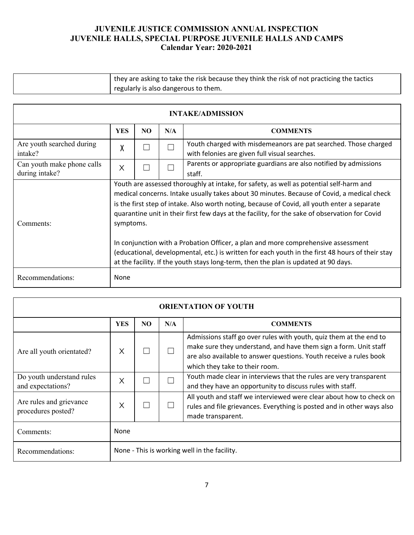| they are asking to take the risk because they think the risk of not practicing the tactics |
|--------------------------------------------------------------------------------------------|
| regularly is also dangerous to them.                                                       |

| <b>INTAKE/ADMISSION</b>                      |                                                                                                                                                                                                                                                                                                                                                                                                                                                                                                                                                                                                                                                                                      |     |     |                                                                                                                  |  |
|----------------------------------------------|--------------------------------------------------------------------------------------------------------------------------------------------------------------------------------------------------------------------------------------------------------------------------------------------------------------------------------------------------------------------------------------------------------------------------------------------------------------------------------------------------------------------------------------------------------------------------------------------------------------------------------------------------------------------------------------|-----|-----|------------------------------------------------------------------------------------------------------------------|--|
|                                              | <b>YES</b>                                                                                                                                                                                                                                                                                                                                                                                                                                                                                                                                                                                                                                                                           | NO. | N/A | <b>COMMENTS</b>                                                                                                  |  |
| Are youth searched during<br>intake?         | χ                                                                                                                                                                                                                                                                                                                                                                                                                                                                                                                                                                                                                                                                                    |     |     | Youth charged with misdemeanors are pat searched. Those charged<br>with felonies are given full visual searches. |  |
| Can youth make phone calls<br>during intake? | X                                                                                                                                                                                                                                                                                                                                                                                                                                                                                                                                                                                                                                                                                    |     |     | Parents or appropriate guardians are also notified by admissions<br>staff.                                       |  |
| Comments:                                    | Youth are assessed thoroughly at intake, for safety, as well as potential self-harm and<br>medical concerns. Intake usually takes about 30 minutes. Because of Covid, a medical check<br>is the first step of intake. Also worth noting, because of Covid, all youth enter a separate<br>quarantine unit in their first few days at the facility, for the sake of observation for Covid<br>symptoms.<br>In conjunction with a Probation Officer, a plan and more comprehensive assessment<br>(educational, developmental, etc.) is written for each youth in the first 48 hours of their stay<br>at the facility. If the youth stays long-term, then the plan is updated at 90 days. |     |     |                                                                                                                  |  |
| Recommendations:                             | None                                                                                                                                                                                                                                                                                                                                                                                                                                                                                                                                                                                                                                                                                 |     |     |                                                                                                                  |  |

| <b>ORIENTATION OF YOUTH</b>                    |            |                                              |     |                                                                                                                                                                                                                                                |  |  |
|------------------------------------------------|------------|----------------------------------------------|-----|------------------------------------------------------------------------------------------------------------------------------------------------------------------------------------------------------------------------------------------------|--|--|
|                                                | <b>YES</b> | NO                                           | N/A | <b>COMMENTS</b>                                                                                                                                                                                                                                |  |  |
| Are all youth orientated?                      | X          |                                              |     | Admissions staff go over rules with youth, quiz them at the end to<br>make sure they understand, and have them sign a form. Unit staff<br>are also available to answer questions. Youth receive a rules book<br>which they take to their room. |  |  |
| Do youth understand rules<br>and expectations? | X          |                                              |     | Youth made clear in interviews that the rules are very transparent<br>and they have an opportunity to discuss rules with staff.                                                                                                                |  |  |
| Are rules and grievance<br>procedures posted?  | Χ          |                                              |     | All youth and staff we interviewed were clear about how to check on<br>rules and file grievances. Everything is posted and in other ways also<br>made transparent.                                                                             |  |  |
| Comments:                                      | None       |                                              |     |                                                                                                                                                                                                                                                |  |  |
| Recommendations:                               |            | None - This is working well in the facility. |     |                                                                                                                                                                                                                                                |  |  |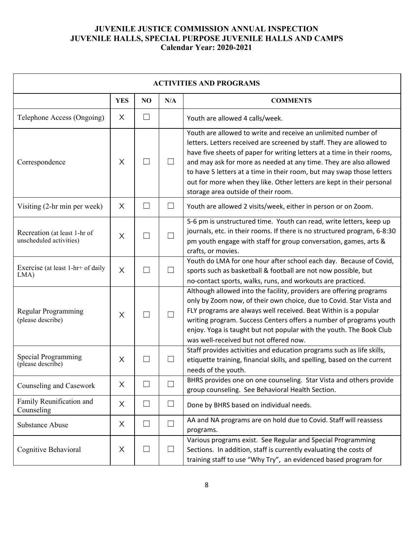| <b>ACTIVITIES AND PROGRAMS</b>                          |            |                          |                   |                                                                                                                                                                                                                                                                                                                                                                                                                                                                                |  |  |
|---------------------------------------------------------|------------|--------------------------|-------------------|--------------------------------------------------------------------------------------------------------------------------------------------------------------------------------------------------------------------------------------------------------------------------------------------------------------------------------------------------------------------------------------------------------------------------------------------------------------------------------|--|--|
|                                                         | <b>YES</b> | NO                       | N/A               | <b>COMMENTS</b>                                                                                                                                                                                                                                                                                                                                                                                                                                                                |  |  |
| Telephone Access (Ongoing)                              | X          | $\vert \ \ \vert$        |                   | Youth are allowed 4 calls/week.                                                                                                                                                                                                                                                                                                                                                                                                                                                |  |  |
| Correspondence                                          | X          |                          |                   | Youth are allowed to write and receive an unlimited number of<br>letters. Letters received are screened by staff. They are allowed to<br>have five sheets of paper for writing letters at a time in their rooms,<br>and may ask for more as needed at any time. They are also allowed<br>to have 5 letters at a time in their room, but may swap those letters<br>out for more when they like. Other letters are kept in their personal<br>storage area outside of their room. |  |  |
| Visiting (2-hr min per week)                            | $\times$   | $\Box$                   | $\mathcal{L}$     | Youth are allowed 2 visits/week, either in person or on Zoom.                                                                                                                                                                                                                                                                                                                                                                                                                  |  |  |
| Recreation (at least 1-hr of<br>unscheduled activities) | $\times$   | $\overline{\phantom{a}}$ | $\Box$            | 5-6 pm is unstructured time. Youth can read, write letters, keep up<br>journals, etc. in their rooms. If there is no structured program, 6-8:30<br>pm youth engage with staff for group conversation, games, arts &<br>crafts, or movies.                                                                                                                                                                                                                                      |  |  |
| Exercise (at least 1-hr+ of daily<br>$LMA$ )            | $\times$   | $\blacksquare$           | $\vert \ \ \vert$ | Youth do LMA for one hour after school each day. Because of Covid,<br>sports such as basketball & football are not now possible, but<br>no-contact sports, walks, runs, and workouts are practiced.                                                                                                                                                                                                                                                                            |  |  |
| Regular Programming<br>(please describe)                | $\times$   |                          | $\Box$            | Although allowed into the facility, providers are offering programs<br>only by Zoom now, of their own choice, due to Covid. Star Vista and<br>FLY programs are always well received. Beat Within is a popular<br>writing program. Success Centers offers a number of programs youth<br>enjoy. Yoga is taught but not popular with the youth. The Book Club<br>was well-received but not offered now.                                                                           |  |  |
| Special Programming<br>(please describe)                | $\times$   | $\blacksquare$           | ⊔                 | Staff provides activities and education programs such as life skills,<br>etiquette training, financial skills, and spelling, based on the current<br>needs of the youth.                                                                                                                                                                                                                                                                                                       |  |  |
| Counseling and Casework                                 | X          | $\overline{\phantom{0}}$ |                   | BHRS provides one on one counseling. Star Vista and others provide<br>group counseling. See Behavioral Health Section.                                                                                                                                                                                                                                                                                                                                                         |  |  |
| Family Reunification and<br>Counseling                  | X          | $\Box$                   | $\Box$            | Done by BHRS based on individual needs.                                                                                                                                                                                                                                                                                                                                                                                                                                        |  |  |
| <b>Substance Abuse</b>                                  | X          | $\Box$                   | $\Box$            | AA and NA programs are on hold due to Covid. Staff will reassess<br>programs.                                                                                                                                                                                                                                                                                                                                                                                                  |  |  |
| Cognitive Behavioral                                    | X          | $\Box$                   | $\Box$            | Various programs exist. See Regular and Special Programming<br>Sections. In addition, staff is currently evaluating the costs of<br>training staff to use "Why Try", an evidenced based program for                                                                                                                                                                                                                                                                            |  |  |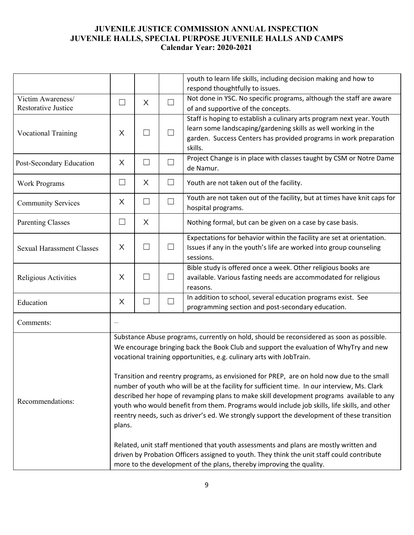|                                  |                                                                                            |                          |        | youth to learn life skills, including decision making and how to<br>respond thoughtfully to issues.                                                                                       |  |  |  |
|----------------------------------|--------------------------------------------------------------------------------------------|--------------------------|--------|-------------------------------------------------------------------------------------------------------------------------------------------------------------------------------------------|--|--|--|
| Victim Awareness/                | ⊔                                                                                          | X                        | $\Box$ | Not done in YSC. No specific programs, although the staff are aware                                                                                                                       |  |  |  |
| <b>Restorative Justice</b>       |                                                                                            |                          |        | of and supportive of the concepts.                                                                                                                                                        |  |  |  |
|                                  |                                                                                            |                          |        | Staff is hoping to establish a culinary arts program next year. Youth                                                                                                                     |  |  |  |
| <b>Vocational Training</b>       | $\times$                                                                                   | $\mathcal{L}$            | $\Box$ | learn some landscaping/gardening skills as well working in the                                                                                                                            |  |  |  |
|                                  |                                                                                            |                          |        | garden. Success Centers has provided programs in work preparation<br>skills.                                                                                                              |  |  |  |
| Post-Secondary Education         | X                                                                                          | $\Box$                   | П      | Project Change is in place with classes taught by CSM or Notre Dame                                                                                                                       |  |  |  |
|                                  |                                                                                            |                          |        | de Namur.                                                                                                                                                                                 |  |  |  |
| Work Programs                    | $\Box$                                                                                     | X                        | $\Box$ | Youth are not taken out of the facility.                                                                                                                                                  |  |  |  |
| <b>Community Services</b>        | X                                                                                          | $\Box$                   | $\Box$ | Youth are not taken out of the facility, but at times have knit caps for                                                                                                                  |  |  |  |
|                                  |                                                                                            |                          |        | hospital programs.                                                                                                                                                                        |  |  |  |
| <b>Parenting Classes</b>         | $\mathsf{L}$                                                                               | X                        |        | Nothing formal, but can be given on a case by case basis.                                                                                                                                 |  |  |  |
|                                  |                                                                                            |                          |        | Expectations for behavior within the facility are set at orientation.                                                                                                                     |  |  |  |
| <b>Sexual Harassment Classes</b> | X                                                                                          | $\Box$                   | $\Box$ | Issues if any in the youth's life are worked into group counseling                                                                                                                        |  |  |  |
|                                  |                                                                                            |                          |        | sessions.                                                                                                                                                                                 |  |  |  |
|                                  |                                                                                            |                          |        | Bible study is offered once a week. Other religious books are                                                                                                                             |  |  |  |
| Religious Activities             | X                                                                                          | $\overline{\phantom{a}}$ | ⊔      | available. Various fasting needs are accommodated for religious                                                                                                                           |  |  |  |
|                                  |                                                                                            |                          |        | reasons.                                                                                                                                                                                  |  |  |  |
| Education                        | X                                                                                          | $\Box$                   | $\Box$ | In addition to school, several education programs exist. See<br>programming section and post-secondary education.                                                                         |  |  |  |
|                                  |                                                                                            |                          |        |                                                                                                                                                                                           |  |  |  |
| Comments:                        |                                                                                            |                          |        |                                                                                                                                                                                           |  |  |  |
|                                  |                                                                                            |                          |        | Substance Abuse programs, currently on hold, should be reconsidered as soon as possible.                                                                                                  |  |  |  |
|                                  |                                                                                            |                          |        | We encourage bringing back the Book Club and support the evaluation of WhyTry and new                                                                                                     |  |  |  |
|                                  |                                                                                            |                          |        | vocational training opportunities, e.g. culinary arts with JobTrain.                                                                                                                      |  |  |  |
|                                  |                                                                                            |                          |        |                                                                                                                                                                                           |  |  |  |
|                                  |                                                                                            |                          |        | Transition and reentry programs, as envisioned for PREP, are on hold now due to the small                                                                                                 |  |  |  |
|                                  |                                                                                            |                          |        | number of youth who will be at the facility for sufficient time. In our interview, Ms. Clark<br>described her hope of revamping plans to make skill development programs available to any |  |  |  |
| Recommendations:                 |                                                                                            |                          |        | youth who would benefit from them. Programs would include job skills, life skills, and other                                                                                              |  |  |  |
|                                  |                                                                                            |                          |        | reentry needs, such as driver's ed. We strongly support the development of these transition                                                                                               |  |  |  |
|                                  | plans.                                                                                     |                          |        |                                                                                                                                                                                           |  |  |  |
|                                  |                                                                                            |                          |        |                                                                                                                                                                                           |  |  |  |
|                                  |                                                                                            |                          |        | Related, unit staff mentioned that youth assessments and plans are mostly written and                                                                                                     |  |  |  |
|                                  | driven by Probation Officers assigned to youth. They think the unit staff could contribute |                          |        |                                                                                                                                                                                           |  |  |  |
|                                  | more to the development of the plans, thereby improving the quality.                       |                          |        |                                                                                                                                                                                           |  |  |  |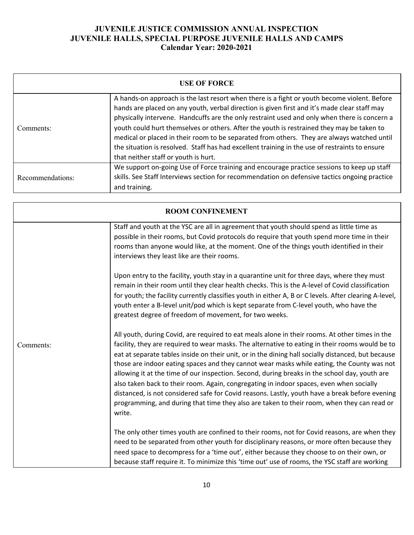| <b>USE OF FORCE</b> |                                                                                                                                                                                                                                                                                                                                                                                                                                                                                                                                                                                                                                   |  |  |  |  |  |
|---------------------|-----------------------------------------------------------------------------------------------------------------------------------------------------------------------------------------------------------------------------------------------------------------------------------------------------------------------------------------------------------------------------------------------------------------------------------------------------------------------------------------------------------------------------------------------------------------------------------------------------------------------------------|--|--|--|--|--|
| Comments:           | A hands-on approach is the last resort when there is a fight or youth become violent. Before<br>hands are placed on any youth, verbal direction is given first and it's made clear staff may<br>physically intervene. Handcuffs are the only restraint used and only when there is concern a<br>youth could hurt themselves or others. After the youth is restrained they may be taken to<br>medical or placed in their room to be separated from others. They are always watched until<br>the situation is resolved. Staff has had excellent training in the use of restraints to ensure<br>that neither staff or youth is hurt. |  |  |  |  |  |
| Recommendations:    | We support on-going Use of Force training and encourage practice sessions to keep up staff<br>skills. See Staff Interviews section for recommendation on defensive tactics ongoing practice<br>and training.                                                                                                                                                                                                                                                                                                                                                                                                                      |  |  |  |  |  |

|           | <b>ROOM CONFINEMENT</b>                                                                                                                                                                                                                                                                                                                                                                                                                                                                                                                                                                                                                                                                                                                                                                                     |
|-----------|-------------------------------------------------------------------------------------------------------------------------------------------------------------------------------------------------------------------------------------------------------------------------------------------------------------------------------------------------------------------------------------------------------------------------------------------------------------------------------------------------------------------------------------------------------------------------------------------------------------------------------------------------------------------------------------------------------------------------------------------------------------------------------------------------------------|
|           | Staff and youth at the YSC are all in agreement that youth should spend as little time as<br>possible in their rooms, but Covid protocols do require that youth spend more time in their<br>rooms than anyone would like, at the moment. One of the things youth identified in their<br>interviews they least like are their rooms.                                                                                                                                                                                                                                                                                                                                                                                                                                                                         |
|           | Upon entry to the facility, youth stay in a quarantine unit for three days, where they must<br>remain in their room until they clear health checks. This is the A-level of Covid classification<br>for youth; the facility currently classifies youth in either A, B or C levels. After clearing A-level,<br>youth enter a B-level unit/pod which is kept separate from C-level youth, who have the<br>greatest degree of freedom of movement, for two weeks.                                                                                                                                                                                                                                                                                                                                               |
| Comments: | All youth, during Covid, are required to eat meals alone in their rooms. At other times in the<br>facility, they are required to wear masks. The alternative to eating in their rooms would be to<br>eat at separate tables inside on their unit, or in the dining hall socially distanced, but because<br>those are indoor eating spaces and they cannot wear masks while eating, the County was not<br>allowing it at the time of our inspection. Second, during breaks in the school day, youth are<br>also taken back to their room. Again, congregating in indoor spaces, even when socially<br>distanced, is not considered safe for Covid reasons. Lastly, youth have a break before evening<br>programming, and during that time they also are taken to their room, when they can read or<br>write. |
|           | The only other times youth are confined to their rooms, not for Covid reasons, are when they<br>need to be separated from other youth for disciplinary reasons, or more often because they<br>need space to decompress for a 'time out', either because they choose to on their own, or<br>because staff require it. To minimize this 'time out' use of rooms, the YSC staff are working                                                                                                                                                                                                                                                                                                                                                                                                                    |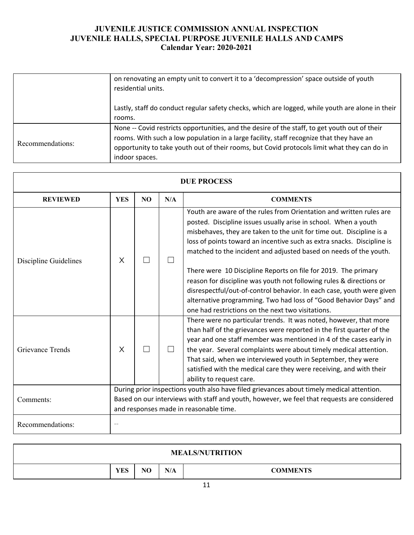|                  | on renovating an empty unit to convert it to a 'decompression' space outside of youth<br>residential units.                                                                                                                                                                                                |
|------------------|------------------------------------------------------------------------------------------------------------------------------------------------------------------------------------------------------------------------------------------------------------------------------------------------------------|
|                  | Lastly, staff do conduct regular safety checks, which are logged, while youth are alone in their<br>rooms.                                                                                                                                                                                                 |
| Recommendations: | None -- Covid restricts opportunities, and the desire of the staff, to get youth out of their<br>rooms. With such a low population in a large facility, staff recognize that they have an<br>opportunity to take youth out of their rooms, but Covid protocols limit what they can do in<br>indoor spaces. |

| <b>DUE PROCESS</b>      |            |                                                                                                                                                                                                                                    |     |                                                                                                                                                                                                                                                                                                                                                                                                                                                                                                                                                                                                                                                                                                           |
|-------------------------|------------|------------------------------------------------------------------------------------------------------------------------------------------------------------------------------------------------------------------------------------|-----|-----------------------------------------------------------------------------------------------------------------------------------------------------------------------------------------------------------------------------------------------------------------------------------------------------------------------------------------------------------------------------------------------------------------------------------------------------------------------------------------------------------------------------------------------------------------------------------------------------------------------------------------------------------------------------------------------------------|
| <b>REVIEWED</b>         | <b>YES</b> | N <sub>O</sub>                                                                                                                                                                                                                     | N/A | <b>COMMENTS</b>                                                                                                                                                                                                                                                                                                                                                                                                                                                                                                                                                                                                                                                                                           |
| Discipline Guidelines   | $\times$   |                                                                                                                                                                                                                                    |     | Youth are aware of the rules from Orientation and written rules are<br>posted. Discipline issues usually arise in school. When a youth<br>misbehaves, they are taken to the unit for time out. Discipline is a<br>loss of points toward an incentive such as extra snacks. Discipline is<br>matched to the incident and adjusted based on needs of the youth.<br>There were 10 Discipline Reports on file for 2019. The primary<br>reason for discipline was youth not following rules & directions or<br>disrespectful/out-of-control behavior. In each case, youth were given<br>alternative programming. Two had loss of "Good Behavior Days" and<br>one had restrictions on the next two visitations. |
| <b>Grievance Trends</b> | $\times$   |                                                                                                                                                                                                                                    |     | There were no particular trends. It was noted, however, that more<br>than half of the grievances were reported in the first quarter of the<br>year and one staff member was mentioned in 4 of the cases early in<br>the year. Several complaints were about timely medical attention.<br>That said, when we interviewed youth in September, they were<br>satisfied with the medical care they were receiving, and with their<br>ability to request care.                                                                                                                                                                                                                                                  |
| Comments:               |            | During prior inspections youth also have filed grievances about timely medical attention.<br>Based on our interviews with staff and youth, however, we feel that requests are considered<br>and responses made in reasonable time. |     |                                                                                                                                                                                                                                                                                                                                                                                                                                                                                                                                                                                                                                                                                                           |
| Recommendations:        |            |                                                                                                                                                                                                                                    |     |                                                                                                                                                                                                                                                                                                                                                                                                                                                                                                                                                                                                                                                                                                           |

|            |    |     | <b>MEALS/NUTRITION</b> |
|------------|----|-----|------------------------|
| <b>YES</b> | NO | N/A | <b>COMMENTS</b>        |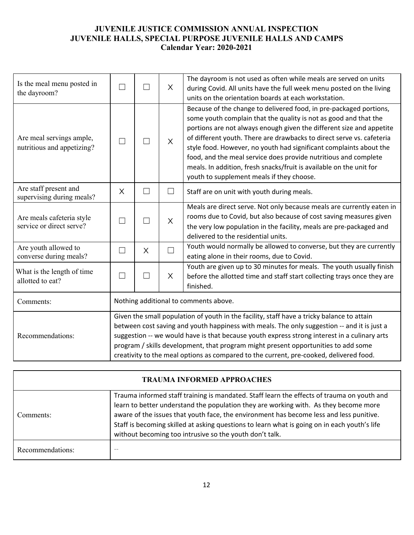| Is the meal menu posted in<br>the dayroom?             | П                                                                                                                                                                                                                                                                                                                                                                                                                                                                         | $\blacksquare$    | $\times$ | The dayroom is not used as often while meals are served on units<br>during Covid. All units have the full week menu posted on the living<br>units on the orientation boards at each workstation.                                                                                                                                                                                                                                                                                                                                                     |  |
|--------------------------------------------------------|---------------------------------------------------------------------------------------------------------------------------------------------------------------------------------------------------------------------------------------------------------------------------------------------------------------------------------------------------------------------------------------------------------------------------------------------------------------------------|-------------------|----------|------------------------------------------------------------------------------------------------------------------------------------------------------------------------------------------------------------------------------------------------------------------------------------------------------------------------------------------------------------------------------------------------------------------------------------------------------------------------------------------------------------------------------------------------------|--|
| Are meal servings ample,<br>nutritious and appetizing? |                                                                                                                                                                                                                                                                                                                                                                                                                                                                           |                   | $\times$ | Because of the change to delivered food, in pre-packaged portions,<br>some youth complain that the quality is not as good and that the<br>portions are not always enough given the different size and appetite<br>of different youth. There are drawbacks to direct serve vs. cafeteria<br>style food. However, no youth had significant complaints about the<br>food, and the meal service does provide nutritious and complete<br>meals. In addition, fresh snacks/fruit is available on the unit for<br>youth to supplement meals if they choose. |  |
| Are staff present and<br>supervising during meals?     | X                                                                                                                                                                                                                                                                                                                                                                                                                                                                         | $\vert \ \ \vert$ | $\Box$   | Staff are on unit with youth during meals.                                                                                                                                                                                                                                                                                                                                                                                                                                                                                                           |  |
| Are meals cafeteria style<br>service or direct serve?  |                                                                                                                                                                                                                                                                                                                                                                                                                                                                           |                   | $\times$ | Meals are direct serve. Not only because meals are currently eaten in<br>rooms due to Covid, but also because of cost saving measures given<br>the very low population in the facility, meals are pre-packaged and<br>delivered to the residential units.                                                                                                                                                                                                                                                                                            |  |
| Are youth allowed to<br>converse during meals?         | $\Box$                                                                                                                                                                                                                                                                                                                                                                                                                                                                    | $\times$          | $\Box$   | Youth would normally be allowed to converse, but they are currently<br>eating alone in their rooms, due to Covid.                                                                                                                                                                                                                                                                                                                                                                                                                                    |  |
| What is the length of time<br>allotted to eat?         | $\Box$                                                                                                                                                                                                                                                                                                                                                                                                                                                                    | $\Box$            | X        | Youth are given up to 30 minutes for meals. The youth usually finish<br>before the allotted time and staff start collecting trays once they are<br>finished.                                                                                                                                                                                                                                                                                                                                                                                         |  |
| Comments:                                              | Nothing additional to comments above.                                                                                                                                                                                                                                                                                                                                                                                                                                     |                   |          |                                                                                                                                                                                                                                                                                                                                                                                                                                                                                                                                                      |  |
| Recommendations:                                       | Given the small population of youth in the facility, staff have a tricky balance to attain<br>between cost saving and youth happiness with meals. The only suggestion -- and it is just a<br>suggestion -- we would have is that because youth express strong interest in a culinary arts<br>program / skills development, that program might present opportunities to add some<br>creativity to the meal options as compared to the current, pre-cooked, delivered food. |                   |          |                                                                                                                                                                                                                                                                                                                                                                                                                                                                                                                                                      |  |

| <b>TRAUMA INFORMED APPROACHES</b> |                                                                                                                                                                                                                                                                                                                                                                                                                                          |  |  |  |  |  |
|-----------------------------------|------------------------------------------------------------------------------------------------------------------------------------------------------------------------------------------------------------------------------------------------------------------------------------------------------------------------------------------------------------------------------------------------------------------------------------------|--|--|--|--|--|
| Comments:                         | Trauma informed staff training is mandated. Staff learn the effects of trauma on youth and<br>learn to better understand the population they are working with. As they become more<br>aware of the issues that youth face, the environment has become less and less punitive.<br>Staff is becoming skilled at asking questions to learn what is going on in each youth's life<br>without becoming too intrusive so the youth don't talk. |  |  |  |  |  |
| Recommendations:                  | $- -$                                                                                                                                                                                                                                                                                                                                                                                                                                    |  |  |  |  |  |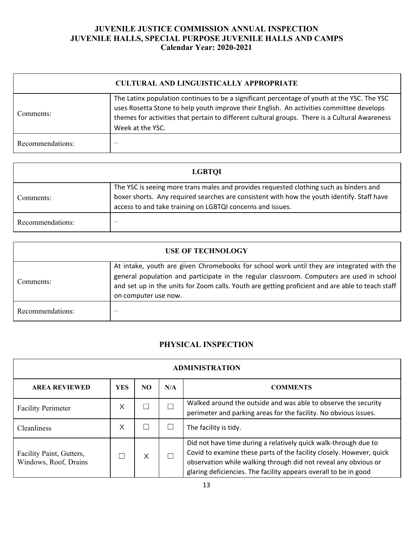| <b>CULTURAL AND LINGUISTICALLY APPROPRIATE</b> |                                                                                                                                                                                                                                                                                                               |  |  |  |  |  |  |  |
|------------------------------------------------|---------------------------------------------------------------------------------------------------------------------------------------------------------------------------------------------------------------------------------------------------------------------------------------------------------------|--|--|--|--|--|--|--|
| Comments:                                      | The Latinx population continues to be a significant percentage of youth at the YSC. The YSC<br>uses Rosetta Stone to help youth improve their English. An activities committee develops<br>themes for activities that pertain to different cultural groups. There is a Cultural Awareness<br>Week at the YSC. |  |  |  |  |  |  |  |
| Recommendations:                               | $- -$                                                                                                                                                                                                                                                                                                         |  |  |  |  |  |  |  |

| <b>LGBTOI</b>    |                                                                                                                                                                                                                                                    |  |  |  |  |  |  |
|------------------|----------------------------------------------------------------------------------------------------------------------------------------------------------------------------------------------------------------------------------------------------|--|--|--|--|--|--|
| Comments:        | The YSC is seeing more trans males and provides requested clothing such as binders and<br>boxer shorts. Any required searches are consistent with how the youth identify. Staff have<br>access to and take training on LGBTQI concerns and issues. |  |  |  |  |  |  |
| Recommendations: | $- -$                                                                                                                                                                                                                                              |  |  |  |  |  |  |

| <b>USE OF TECHNOLOGY</b> |                                                                                                                                                                                                                                                                                                                    |  |  |  |  |  |  |
|--------------------------|--------------------------------------------------------------------------------------------------------------------------------------------------------------------------------------------------------------------------------------------------------------------------------------------------------------------|--|--|--|--|--|--|
| Comments:                | At intake, youth are given Chromebooks for school work until they are integrated with the<br>general population and participate in the regular classroom. Computers are used in school<br>and set up in the units for Zoom calls. Youth are getting proficient and are able to teach staff<br>on computer use now. |  |  |  |  |  |  |
| Recommendations:         |                                                                                                                                                                                                                                                                                                                    |  |  |  |  |  |  |

# **PHYSICAL INSPECTION**

| <b>ADMINISTRATION</b>                             |            |     |     |                                                                                                                                                                                                                                                                                |  |  |
|---------------------------------------------------|------------|-----|-----|--------------------------------------------------------------------------------------------------------------------------------------------------------------------------------------------------------------------------------------------------------------------------------|--|--|
| <b>AREA REVIEWED</b>                              | <b>YES</b> | NO. | N/A | <b>COMMENTS</b>                                                                                                                                                                                                                                                                |  |  |
| <b>Facility Perimeter</b>                         | Χ          |     |     | Walked around the outside and was able to observe the security<br>perimeter and parking areas for the facility. No obvious issues.                                                                                                                                             |  |  |
| Cleanliness                                       | X          |     |     | The facility is tidy.                                                                                                                                                                                                                                                          |  |  |
| Facility Paint, Gutters,<br>Windows, Roof, Drains |            | X   |     | Did not have time during a relatively quick walk-through due to<br>Covid to examine these parts of the facility closely. However, quick<br>observation while walking through did not reveal any obvious or<br>glaring deficiencies. The facility appears overall to be in good |  |  |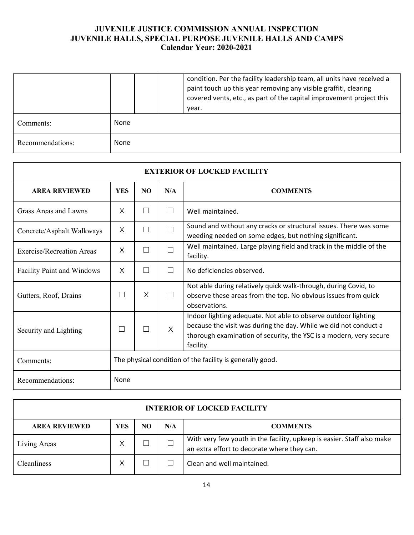|                  |      |  | condition. Per the facility leadership team, all units have received a<br>paint touch up this year removing any visible graffiti, clearing<br>covered vents, etc., as part of the capital improvement project this<br>year. |
|------------------|------|--|-----------------------------------------------------------------------------------------------------------------------------------------------------------------------------------------------------------------------------|
| Comments:        | None |  |                                                                                                                                                                                                                             |
| Recommendations: | None |  |                                                                                                                                                                                                                             |

| <b>EXTERIOR OF LOCKED FACILITY</b> |                                                           |                |          |                                                                                                                                                                                                                       |  |  |  |
|------------------------------------|-----------------------------------------------------------|----------------|----------|-----------------------------------------------------------------------------------------------------------------------------------------------------------------------------------------------------------------------|--|--|--|
| <b>AREA REVIEWED</b>               | <b>YES</b>                                                | N <sub>O</sub> | N/A      | <b>COMMENTS</b>                                                                                                                                                                                                       |  |  |  |
| Grass Areas and Lawns              | $\times$                                                  |                | П        | Well maintained.                                                                                                                                                                                                      |  |  |  |
| Concrete/Asphalt Walkways          | $\times$                                                  | П              | П        | Sound and without any cracks or structural issues. There was some<br>weeding needed on some edges, but nothing significant.                                                                                           |  |  |  |
| <b>Exercise/Recreation Areas</b>   | $\times$                                                  |                | П        | Well maintained. Large playing field and track in the middle of the<br>facility.                                                                                                                                      |  |  |  |
| <b>Facility Paint and Windows</b>  | X                                                         | $\Box$         | П        | No deficiencies observed.                                                                                                                                                                                             |  |  |  |
| Gutters, Roof, Drains              |                                                           | X              | $\perp$  | Not able during relatively quick walk-through, during Covid, to<br>observe these areas from the top. No obvious issues from quick<br>observations.                                                                    |  |  |  |
| Security and Lighting              |                                                           |                | $\times$ | Indoor lighting adequate. Not able to observe outdoor lighting<br>because the visit was during the day. While we did not conduct a<br>thorough examination of security, the YSC is a modern, very secure<br>facility. |  |  |  |
| Comments:                          | The physical condition of the facility is generally good. |                |          |                                                                                                                                                                                                                       |  |  |  |
| Recommendations:                   | None                                                      |                |          |                                                                                                                                                                                                                       |  |  |  |

| <b>INTERIOR OF LOCKED FACILITY</b> |     |    |     |                                                                                                                       |  |  |
|------------------------------------|-----|----|-----|-----------------------------------------------------------------------------------------------------------------------|--|--|
| <b>AREA REVIEWED</b>               | YES | NO | N/A | <b>COMMENTS</b>                                                                                                       |  |  |
| Living Areas                       |     |    |     | With very few youth in the facility, upkeep is easier. Staff also make<br>an extra effort to decorate where they can. |  |  |
| Cleanliness                        |     |    |     | Clean and well maintained.                                                                                            |  |  |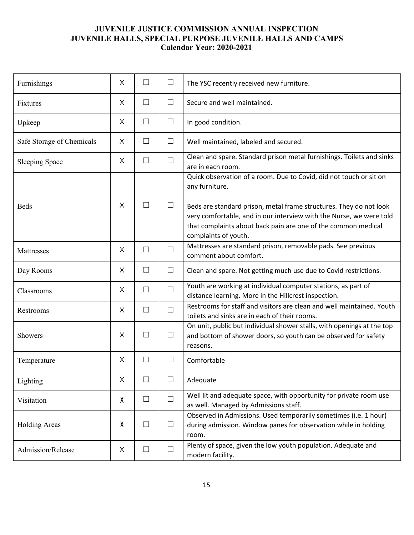| Furnishings               | $\times$ | $\Box$ | $\Box$ | The YSC recently received new furniture.                                                                                                                                                                                                                                                                                   |
|---------------------------|----------|--------|--------|----------------------------------------------------------------------------------------------------------------------------------------------------------------------------------------------------------------------------------------------------------------------------------------------------------------------------|
| Fixtures                  | X        | $\Box$ | $\Box$ | Secure and well maintained.                                                                                                                                                                                                                                                                                                |
| Upkeep                    | X        | $\Box$ | $\Box$ | In good condition.                                                                                                                                                                                                                                                                                                         |
| Safe Storage of Chemicals | X        | $\Box$ | $\Box$ | Well maintained, labeled and secured.                                                                                                                                                                                                                                                                                      |
| <b>Sleeping Space</b>     | $\times$ | $\Box$ | $\Box$ | Clean and spare. Standard prison metal furnishings. Toilets and sinks<br>are in each room.                                                                                                                                                                                                                                 |
| <b>Beds</b>               | $\times$ | П      | $\Box$ | Quick observation of a room. Due to Covid, did not touch or sit on<br>any furniture.<br>Beds are standard prison, metal frame structures. They do not look<br>very comfortable, and in our interview with the Nurse, we were told<br>that complaints about back pain are one of the common medical<br>complaints of youth. |
| Mattresses                | $\times$ | $\Box$ | $\Box$ | Mattresses are standard prison, removable pads. See previous<br>comment about comfort.                                                                                                                                                                                                                                     |
| Day Rooms                 | $\times$ | $\Box$ | $\Box$ | Clean and spare. Not getting much use due to Covid restrictions.                                                                                                                                                                                                                                                           |
| Classrooms                | X        | $\Box$ | $\Box$ | Youth are working at individual computer stations, as part of<br>distance learning. More in the Hillcrest inspection.                                                                                                                                                                                                      |
| Restrooms                 | $\times$ | $\Box$ | $\Box$ | Restrooms for staff and visitors are clean and well maintained. Youth<br>toilets and sinks are in each of their rooms.                                                                                                                                                                                                     |
| Showers                   | $\times$ | П      | $\Box$ | On unit, public but individual shower stalls, with openings at the top<br>and bottom of shower doors, so youth can be observed for safety<br>reasons.                                                                                                                                                                      |
| Temperature               | $\times$ | $\Box$ | $\Box$ | Comfortable                                                                                                                                                                                                                                                                                                                |
| Lighting                  | X        | ப      | $\Box$ | Adequate                                                                                                                                                                                                                                                                                                                   |
| Visitation                | χ        | $\Box$ | $\Box$ | Well lit and adequate space, with opportunity for private room use<br>as well. Managed by Admissions staff.                                                                                                                                                                                                                |
| <b>Holding Areas</b>      | χ        | $\Box$ | $\Box$ | Observed in Admissions. Used temporarily sometimes (i.e. 1 hour)<br>during admission. Window panes for observation while in holding<br>room.                                                                                                                                                                               |
| Admission/Release         | X        | $\Box$ | $\Box$ | Plenty of space, given the low youth population. Adequate and<br>modern facility.                                                                                                                                                                                                                                          |